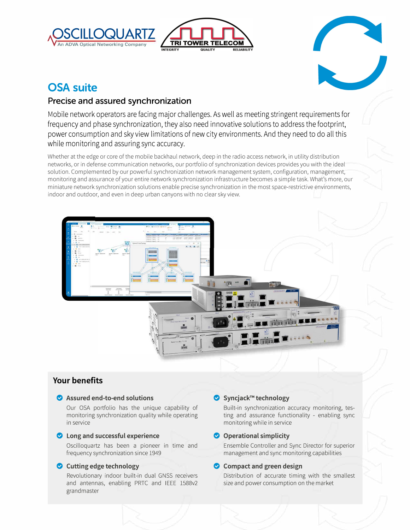



# **OSA suite**

# **Precise and assured synchronization**

Mobile network operators are facing major challenges. As well as meeting stringent requirements for frequency and phase synchronization, they also need innovative solutions to address the footprint, power consumption and sky view limitations of new city environments. And they need to do all this while monitoring and assuring sync accuracy.

Whether at the edge or core of the mobile backhaul network, deep in the radio access network, in utility distribution networks, or in defense communication networks, our portfolio of synchronization devices provides you with the ideal solution. Complemented by our powerful synchronization network management system, configuration, management, monitoring and assurance of your entire network synchronization infrastructure becomes a simple task. What's more, our miniature network synchronization solutions enable precise synchronization in the most space-restrictive environments, indoor and outdoor, and even in deep urban canyons with no clear sky view.



# **Your benefits**

#### **0 Assured end-to-end solutions**

Our OSA portfolio has the unique capability of monitoring synchronization quality while operating in service

#### **0 Long and successful experience**

Oscilloquartz has been a pioneer in time and frequency synchronization since 1949

#### **0 Cutting edge technology**

Revolutionary indoor built-in dual GNSS receivers and antennas, enabling PRTC and IEEE 1588v2 grandmaster

### **0 Syncjack™ technology**

Built-in synchronization accuracy monitoring, testing and assurance functionality - enabling sync monitoring while in service

### **0 Operational simplicity**

Ensemble Controller and Sync Director for superior management and sync monitoring capabilities

### **0 Compact and green design**

Distribution of accurate timing with the smallest size and power consumption on the market